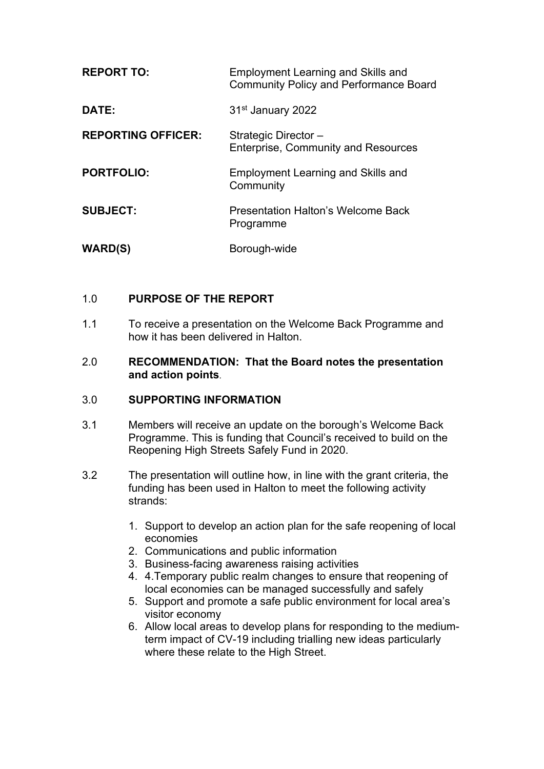| <b>REPORT TO:</b>         | <b>Employment Learning and Skills and</b><br><b>Community Policy and Performance Board</b> |
|---------------------------|--------------------------------------------------------------------------------------------|
| DATE:                     | 31 <sup>st</sup> January 2022                                                              |
| <b>REPORTING OFFICER:</b> | Strategic Director-<br><b>Enterprise, Community and Resources</b>                          |
| <b>PORTFOLIO:</b>         | <b>Employment Learning and Skills and</b><br>Community                                     |
| <b>SUBJECT:</b>           | <b>Presentation Halton's Welcome Back</b><br>Programme                                     |
| <b>WARD(S)</b>            | Borough-wide                                                                               |

## 1.0 **PURPOSE OF THE REPORT**

1.1 To receive a presentation on the Welcome Back Programme and how it has been delivered in Halton.

#### 2.0 **RECOMMENDATION: That the Board notes the presentation and action points**.

#### 3.0 **SUPPORTING INFORMATION**

- 3.1 Members will receive an update on the borough's Welcome Back Programme. This is funding that Council's received to build on the Reopening High Streets Safely Fund in 2020.
- 3.2 The presentation will outline how, in line with the grant criteria, the funding has been used in Halton to meet the following activity strands:
	- 1. Support to develop an action plan for the safe reopening of local economies
	- 2. Communications and public information
	- 3. Business-facing awareness raising activities
	- 4. 4.Temporary public realm changes to ensure that reopening of local economies can be managed successfully and safely
	- 5. Support and promote a safe public environment for local area's visitor economy
	- 6. Allow local areas to develop plans for responding to the mediumterm impact of CV-19 including trialling new ideas particularly where these relate to the High Street.